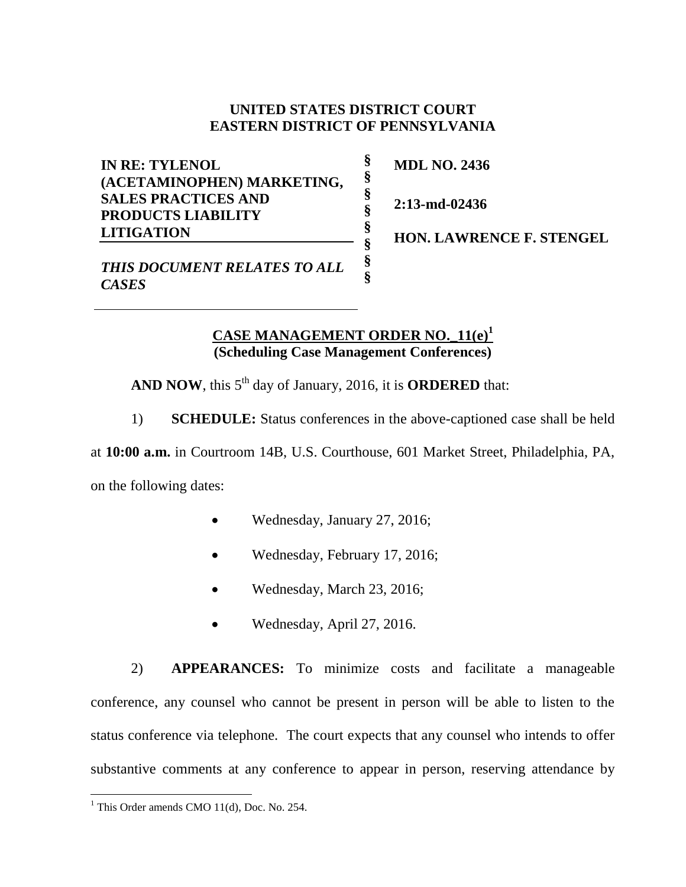## **UNITED STATES DISTRICT COURT EASTERN DISTRICT OF PENNSYLVANIA**

**§ § § § § § § §**

**IN RE: TYLENOL (ACETAMINOPHEN) MARKETING, SALES PRACTICES AND PRODUCTS LIABILITY LITIGATION**

**MDL NO. 2436**

**2:13-md-02436**

**HON. LAWRENCE F. STENGEL** 

*THIS DOCUMENT RELATES TO ALL CASES*

## **CASE MANAGEMENT ORDER NO.\_11(e) 1 (Scheduling Case Management Conferences)**

AND NOW, this 5<sup>th</sup> day of January, 2016, it is **ORDERED** that:

1) **SCHEDULE:** Status conferences in the above-captioned case shall be held

at **10:00 a.m.** in Courtroom 14B, U.S. Courthouse, 601 Market Street, Philadelphia, PA, on the following dates:

- Wednesday, January 27, 2016;
- Wednesday, February 17, 2016;
- Wednesday, March 23, 2016;
- Wednesday, April 27, 2016.

2) **APPEARANCES:** To minimize costs and facilitate a manageable conference, any counsel who cannot be present in person will be able to listen to the status conference via telephone. The court expects that any counsel who intends to offer substantive comments at any conference to appear in person, reserving attendance by

 $\overline{a}$ <sup>1</sup> This Order amends CMO  $11(d)$ , Doc. No. 254.